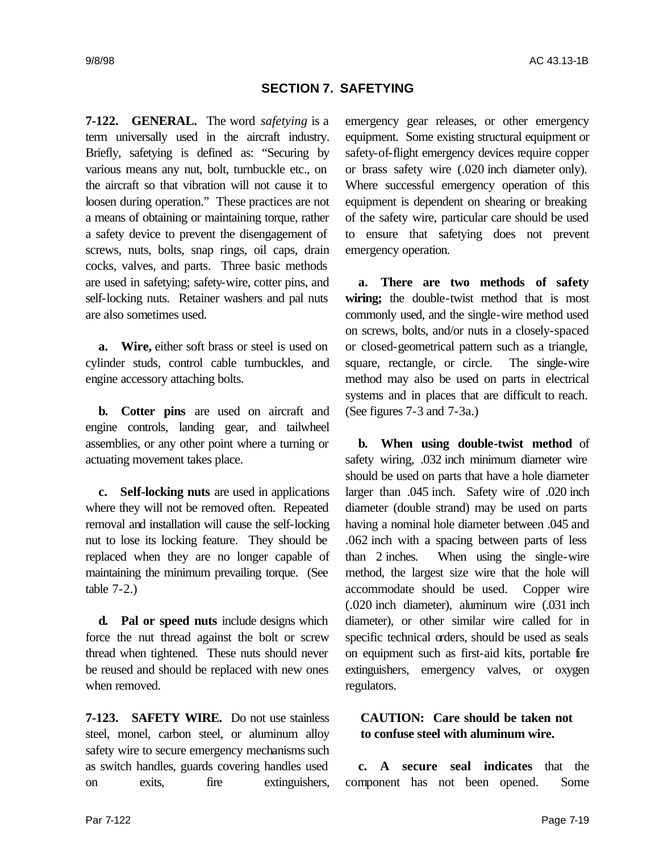### **SECTION 7. SAFETYING**

**7-122. GENERAL.** The word *safetying* is a term universally used in the aircraft industry. Briefly, safetying is defined as: "Securing by various means any nut, bolt, turnbuckle etc., on the aircraft so that vibration will not cause it to loosen during operation." These practices are not a means of obtaining or maintaining torque, rather a safety device to prevent the disengagement of screws, nuts, bolts, snap rings, oil caps, drain cocks, valves, and parts. Three basic methods are used in safetying; safety-wire, cotter pins, and self-locking nuts. Retainer washers and pal nuts are also sometimes used.

**a. Wire,** either soft brass or steel is used on cylinder studs, control cable turnbuckles, and engine accessory attaching bolts.

**b. Cotter pins** are used on aircraft and engine controls, landing gear, and tailwheel assemblies, or any other point where a turning or actuating movement takes place.

**c. Self-locking nuts** are used in applications where they will not be removed often. Repeated removal and installation will cause the self-locking nut to lose its locking feature. They should be replaced when they are no longer capable of maintaining the minimum prevailing torque. (See table 7-2.)

**d. Pal or speed nuts** include designs which force the nut thread against the bolt or screw thread when tightened. These nuts should never be reused and should be replaced with new ones when removed.

**7-123. SAFETY WIRE.** Do not use stainless steel, monel, carbon steel, or aluminum alloy safety wire to secure emergency mechanisms such as switch handles, guards covering handles used on exits, fire extinguishers,

emergency gear releases, or other emergency equipment. Some existing structural equipment or safety-of-flight emergency devices require copper or brass safety wire (.020 inch diameter only). Where successful emergency operation of this equipment is dependent on shearing or breaking of the safety wire, particular care should be used to ensure that safetying does not prevent emergency operation.

**a. There are two methods of safety wiring;** the double-twist method that is most commonly used, and the single-wire method used on screws, bolts, and/or nuts in a closely-spaced or closed-geometrical pattern such as a triangle, square, rectangle, or circle. The single-wire method may also be used on parts in electrical systems and in places that are difficult to reach. (See figures 7-3 and 7-3a.)

**b. When using double-twist method** of safety wiring, .032 inch minimum diameter wire should be used on parts that have a hole diameter larger than .045 inch. Safety wire of .020 inch diameter (double strand) may be used on parts having a nominal hole diameter between .045 and .062 inch with a spacing between parts of less than 2 inches. When using the single-wire method, the largest size wire that the hole will accommodate should be used. Copper wire (.020 inch diameter), aluminum wire (.031 inch diameter), or other similar wire called for in specific technical orders, should be used as seals on equipment such as first-aid kits, portable fire extinguishers, emergency valves, or oxygen regulators.

## **CAUTION: Care should be taken not to confuse steel with aluminum wire.**

**c. A secure seal indicates** that the component has not been opened. Some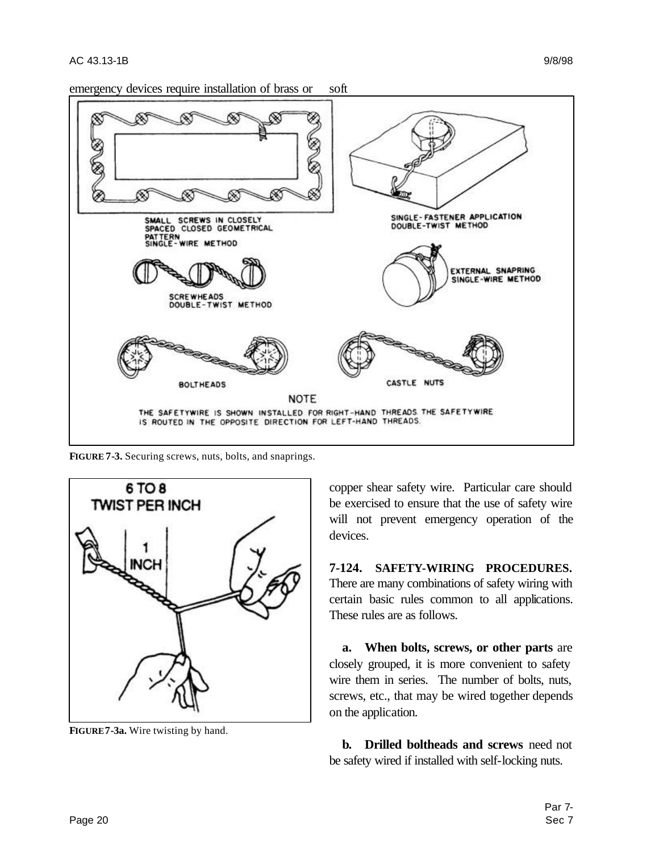emergency devices require installation of brass or soft



**FIGURE 7-3.** Securing screws, nuts, bolts, and snaprings.



**FIGURE7-3a.** Wire twisting by hand.

copper shear safety wire. Particular care should be exercised to ensure that the use of safety wire will not prevent emergency operation of the devices.

**7-124. SAFETY-WIRING PROCEDURES.** There are many combinations of safety wiring with certain basic rules common to all applications. These rules are as follows.

**a. When bolts, screws, or other parts** are closely grouped, it is more convenient to safety wire them in series. The number of bolts, nuts, screws, etc., that may be wired together depends on the application.

**b. Drilled boltheads and screws** need not be safety wired if installed with self-locking nuts.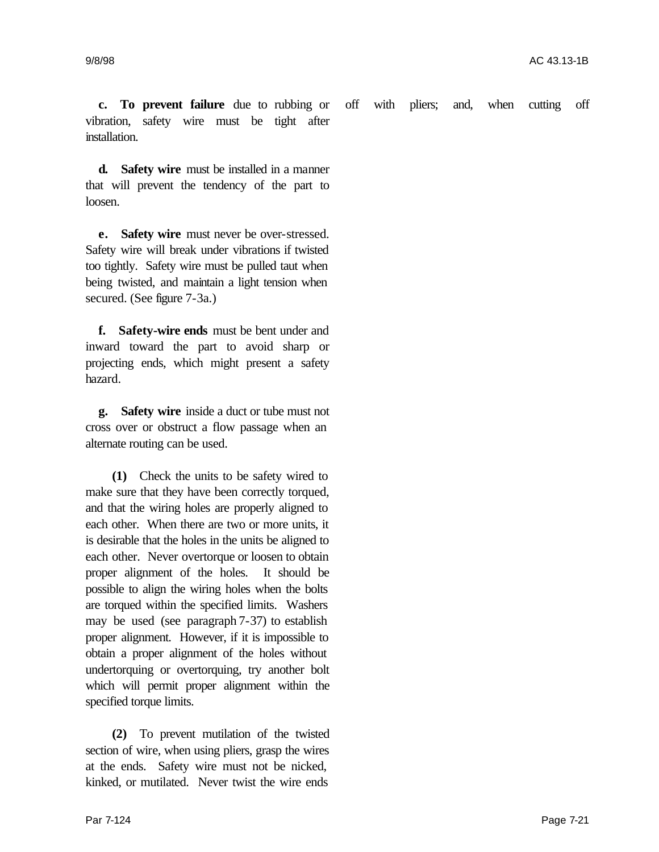**c. To prevent failure** due to rubbing or vibration, safety wire must be tight after installation. off with pliers; and, when cutting off

**d. Safety wire** must be installed in a manner that will prevent the tendency of the part to loosen.

**e. Safety wire** must never be over-stressed. Safety wire will break under vibrations if twisted too tightly. Safety wire must be pulled taut when being twisted, and maintain a light tension when secured. (See figure 7-3a.)

**f. Safety-wire ends** must be bent under and inward toward the part to avoid sharp or projecting ends, which might present a safety hazard.

**g. Safety wire** inside a duct or tube must not cross over or obstruct a flow passage when an alternate routing can be used.

**(1)** Check the units to be safety wired to make sure that they have been correctly torqued, and that the wiring holes are properly aligned to each other. When there are two or more units, it is desirable that the holes in the units be aligned to each other. Never overtorque or loosen to obtain proper alignment of the holes. It should be possible to align the wiring holes when the bolts are torqued within the specified limits. Washers may be used (see paragraph 7-37) to establish proper alignment. However, if it is impossible to obtain a proper alignment of the holes without undertorquing or overtorquing, try another bolt which will permit proper alignment within the specified torque limits.

**(2)** To prevent mutilation of the twisted section of wire, when using pliers, grasp the wires at the ends. Safety wire must not be nicked, kinked, or mutilated. Never twist the wire ends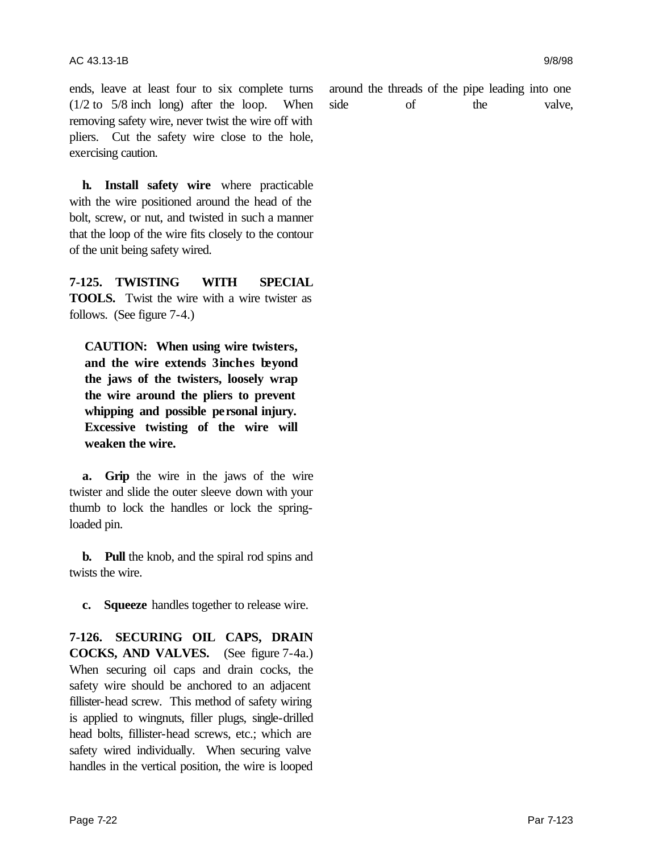ends, leave at least four to six complete turns (1/2 to 5/8 inch long) after the loop. When removing safety wire, never twist the wire off with pliers. Cut the safety wire close to the hole, exercising caution.

**h. Install safety wire** where practicable with the wire positioned around the head of the bolt, screw, or nut, and twisted in such a manner that the loop of the wire fits closely to the contour of the unit being safety wired.

**7-125. TWISTING WITH SPECIAL TOOLS.** Twist the wire with a wire twister as follows. (See figure 7-4.)

**CAUTION: When using wire twisters, and the wire extends 3inches beyond the jaws of the twisters, loosely wrap the wire around the pliers to prevent whipping and possible personal injury. Excessive twisting of the wire will weaken the wire.**

**a. Grip** the wire in the jaws of the wire twister and slide the outer sleeve down with your thumb to lock the handles or lock the springloaded pin.

**b. Pull** the knob, and the spiral rod spins and twists the wire.

**c. Squeeze** handles together to release wire.

**7-126. SECURING OIL CAPS, DRAIN COCKS, AND VALVES.** (See figure 7-4a.) When securing oil caps and drain cocks, the safety wire should be anchored to an adjacent fillister-head screw. This method of safety wiring is applied to wingnuts, filler plugs, single-drilled head bolts, fillister-head screws, etc.; which are safety wired individually. When securing valve handles in the vertical position, the wire is looped

around the threads of the pipe leading into one side of the valve,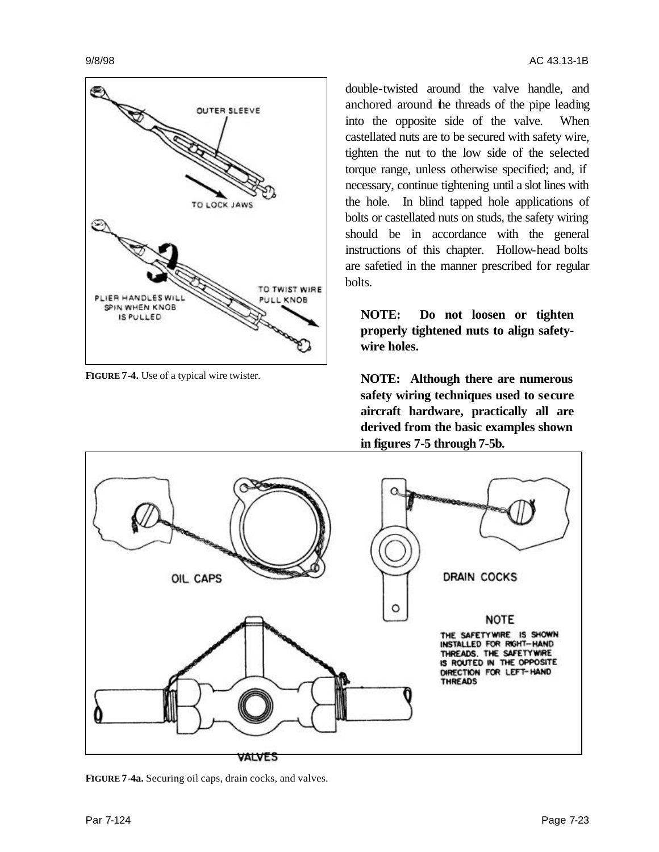

**FIGURE 7-4.** Use of a typical wire twister.

double-twisted around the valve handle, and anchored around the threads of the pipe leading into the opposite side of the valve. When castellated nuts are to be secured with safety wire, tighten the nut to the low side of the selected torque range, unless otherwise specified; and, if necessary, continue tightening until a slot lines with the hole. In blind tapped hole applications of bolts or castellated nuts on studs, the safety wiring should be in accordance with the general instructions of this chapter. Hollow-head bolts are safetied in the manner prescribed for regular bolts.

**NOTE: Do not loosen or tighten properly tightened nuts to align safetywire holes.**

**NOTE: Although there are numerous safety wiring techniques used to secure aircraft hardware, practically all are derived from the basic examples shown in figures 7-5 through 7-5b.**



**FIGURE 7-4a.** Securing oil caps, drain cocks, and valves.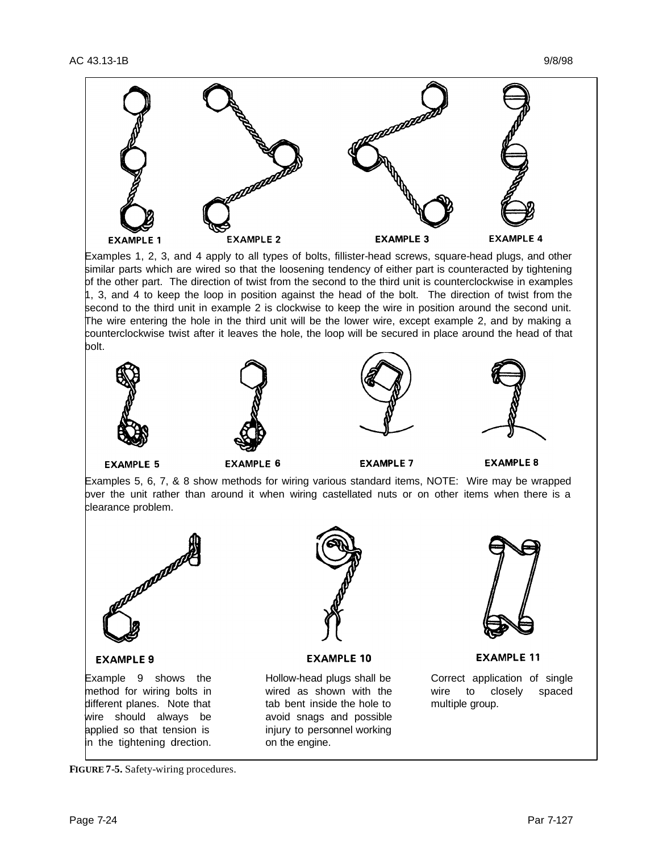

Examples 1, 2, 3, and 4 apply to all types of bolts, fillister-head screws, square-head plugs, and other similar parts which are wired so that the loosening tendency of either part is counteracted by tightening of the other part. The direction of twist from the second to the third unit is counterclockwise in examples 1, 3, and 4 to keep the loop in position against the head of the bolt. The direction of twist from the second to the third unit in example 2 is clockwise to keep the wire in position around the second unit. The wire entering the hole in the third unit will be the lower wire, except example 2, and by making a counterclockwise twist after it leaves the hole, the loop will be secured in place around the head of that bolt.









**EXAMPLE 5** 

**EXAMPLE 6** 

**EXAMPLE 7** 

**EXAMPLE 8** 

Examples 5, 6, 7, & 8 show methods for wiring various standard items, NOTE: Wire may be wrapped bver the unit rather than around it when wiring castellated nuts or on other items when there is a clearance problem.



#### **EXAMPLE 9**

Example 9 shows the method for wiring bolts in different planes. Note that wire should always be applied so that tension is in the tightening direction.



**EXAMPLE 10** 

Hollow-head plugs shall be wired as shown with the tab bent inside the hole to avoid snags and possible injury to personnel working on the engine.



**EXAMPLE 11** 

Correct application of single wire to closely spaced multiple group.

**FIGURE 7-5.** Safety-wiring procedures.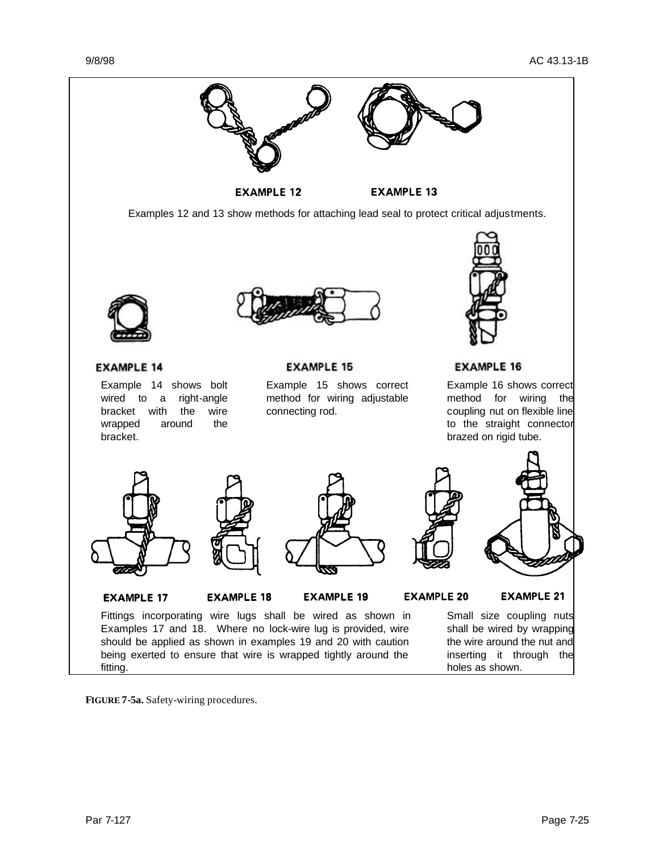

**FIGURE 7-5a.** Safety-wiring procedures.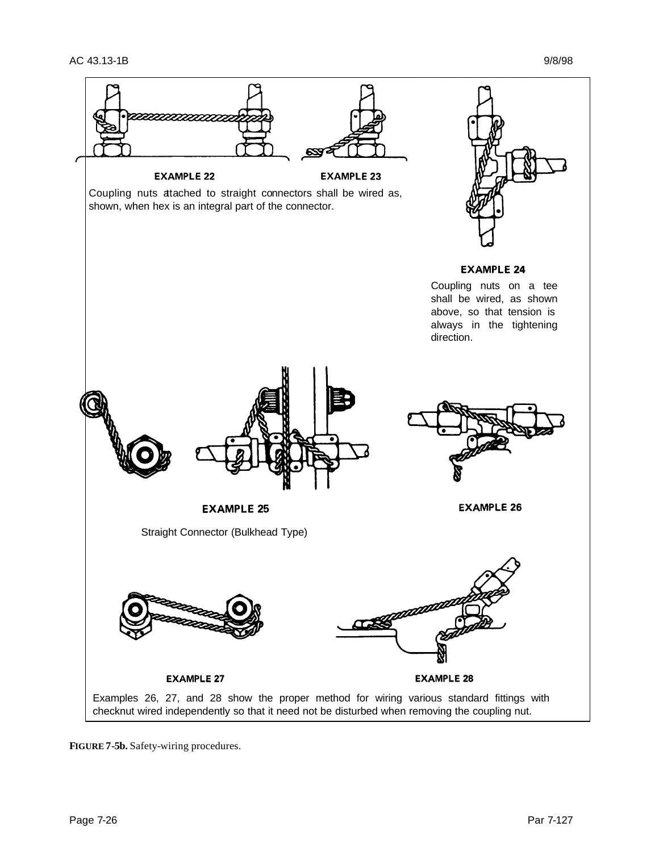

**FIGURE 7-5b.** Safety-wiring procedures.